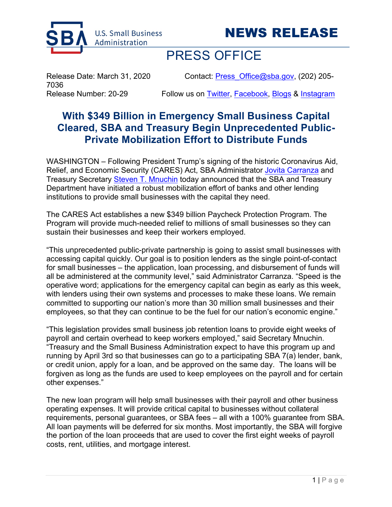



## PRESS OFFICE

7036

Release Date: March 31, 2020 Contact: Press Office@sba.gov, (202) 205-

Release Number: 20-29 Follow us on Twitter, Facebook, Blogs & Instagram

## **With \$349 Billion in Emergency Small Business Capital Cleared, SBA and Treasury Begin Unprecedented Public-Private Mobilization Effort to Distribute Funds**

WASHINGTON – Following President Trump's signing of the historic Coronavirus Aid, Relief, and Economic Security (CARES) Act, SBA Administrator Jovita Carranza and Treasury Secretary Steven T. Mnuchin today announced that the SBA and Treasury Department have initiated a robust mobilization effort of banks and other lending institutions to provide small businesses with the capital they need.

The CARES Act establishes a new \$349 billion Paycheck Protection Program. The Program will provide much-needed relief to millions of small businesses so they can sustain their businesses and keep their workers employed.

"This unprecedented public-private partnership is going to assist small businesses with accessing capital quickly. Our goal is to position lenders as the single point-of-contact for small businesses – the application, loan processing, and disbursement of funds will all be administered at the community level," said Administrator Carranza. "Speed is the operative word; applications for the emergency capital can begin as early as this week, with lenders using their own systems and processes to make these loans. We remain committed to supporting our nation's more than 30 million small businesses and their employees, so that they can continue to be the fuel for our nation's economic engine."

"This legislation provides small business job retention loans to provide eight weeks of payroll and certain overhead to keep workers employed," said Secretary Mnuchin. "Treasury and the Small Business Administration expect to have this program up and running by April 3rd so that businesses can go to a participating SBA 7(a) lender, bank, or credit union, apply for a loan, and be approved on the same day. The loans will be forgiven as long as the funds are used to keep employees on the payroll and for certain other expenses."

The new loan program will help small businesses with their payroll and other business operating expenses. It will provide critical capital to businesses without collateral requirements, personal guarantees, or SBA fees – all with a 100% guarantee from SBA. All loan payments will be deferred for six months. Most importantly, the SBA will forgive the portion of the loan proceeds that are used to cover the first eight weeks of payroll costs, rent, utilities, and mortgage interest.